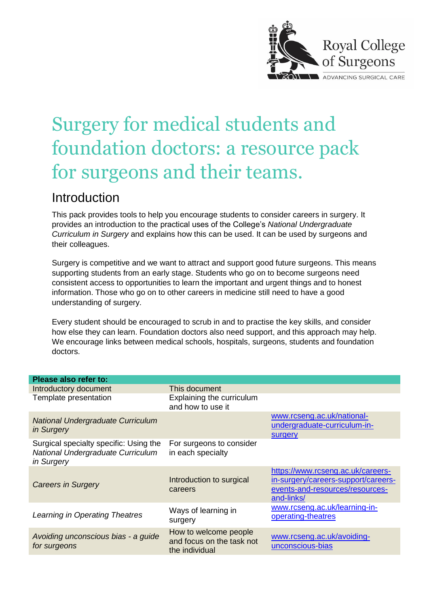

# Surgery for medical students and foundation doctors: a resource pack for surgeons and their teams.

## Introduction

This pack provides tools to help you encourage students to consider careers in surgery. It provides an introduction to the practical uses of the College's *National Undergraduate Curriculum in Surgery* and explains how this can be used. It can be used by surgeons and their colleagues.

Surgery is competitive and we want to attract and support good future surgeons. This means supporting students from an early stage. Students who go on to become surgeons need consistent access to opportunities to learn the important and urgent things and to honest information. Those who go on to other careers in medicine still need to have a good understanding of surgery.

Every student should be encouraged to scrub in and to practise the key skills, and consider how else they can learn. Foundation doctors also need support, and this approach may help. We encourage links between medical schools, hospitals, surgeons, students and foundation doctors.

| Please also refer to:                                                                     |                                                                      |                                                                                                                           |
|-------------------------------------------------------------------------------------------|----------------------------------------------------------------------|---------------------------------------------------------------------------------------------------------------------------|
| Introductory document                                                                     | This document                                                        |                                                                                                                           |
| Template presentation                                                                     | Explaining the curriculum<br>and how to use it                       |                                                                                                                           |
| <b>National Undergraduate Curriculum</b><br>in Surgery                                    |                                                                      | www.rcseng.ac.uk/national-<br>undergraduate-curriculum-in-<br><b>surgery</b>                                              |
| Surgical specialty specific: Using the<br>National Undergraduate Curriculum<br>in Surgery | For surgeons to consider<br>in each specialty                        |                                                                                                                           |
| <b>Careers in Surgery</b>                                                                 | Introduction to surgical<br>careers                                  | https://www.rcseng.ac.uk/careers-<br>in-surgery/careers-support/careers-<br>events-and-resources/resources-<br>and-links/ |
| Learning in Operating Theatres                                                            | Ways of learning in<br>surgery                                       | www.rcseng.ac.uk/learning-in-<br>operating-theatres                                                                       |
| Avoiding unconscious bias - a guide<br>for surgeons                                       | How to welcome people<br>and focus on the task not<br>the individual | www.rcseng.ac.uk/avoiding-<br>unconscious-bias                                                                            |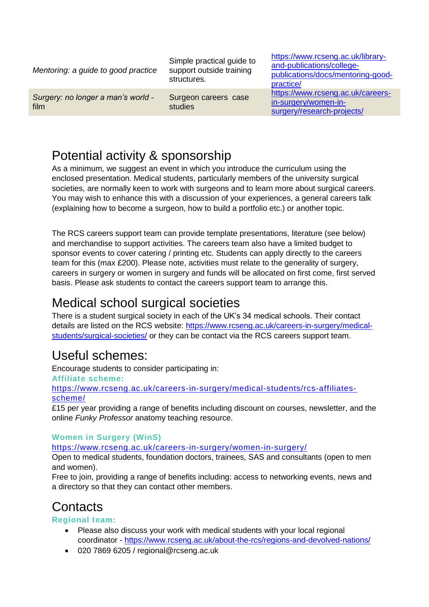*Mentoring: a guide to good practice* Simple practical guide to support outside training structures. [https://www.rcseng.ac.uk/library](https://www.rcseng.ac.uk/library-and-publications/college-publications/docs/mentoring-good-practice/)[and-publications/college](https://www.rcseng.ac.uk/library-and-publications/college-publications/docs/mentoring-good-practice/)[publications/docs/mentoring-good](https://www.rcseng.ac.uk/library-and-publications/college-publications/docs/mentoring-good-practice/)[practice/](https://www.rcseng.ac.uk/library-and-publications/college-publications/docs/mentoring-good-practice/) *Surgery: no longer a man's world* film Surgeon careers case studies [https://www.rcseng.ac.uk/careers](https://www.rcseng.ac.uk/careers-in-surgery/women-in-surgery/research-projects/)[in-surgery/women-in](https://www.rcseng.ac.uk/careers-in-surgery/women-in-surgery/research-projects/)[surgery/research-projects/](https://www.rcseng.ac.uk/careers-in-surgery/women-in-surgery/research-projects/)

# Potential activity & sponsorship

As a minimum, we suggest an event in which you introduce the curriculum using the enclosed presentation. Medical students, particularly members of the university surgical societies, are normally keen to work with surgeons and to learn more about surgical careers. You may wish to enhance this with a discussion of your experiences, a general careers talk (explaining how to become a surgeon, how to build a portfolio etc.) or another topic.

The RCS careers support team can provide template presentations, literature (see below) and merchandise to support activities. The careers team also have a limited budget to sponsor events to cover catering / printing etc. Students can apply directly to the careers team for this (max £200). Please note, activities must relate to the generality of surgery, careers in surgery or women in surgery and funds will be allocated on first come, first served basis. Please ask students to contact the careers support team to arrange this.

## Medical school surgical societies

There is a student surgical society in each of the UK's 34 medical schools. Their contact details are listed on the RCS website: [https://www.rcseng.ac.uk/careers-in-surgery/medical](https://www.rcseng.ac.uk/careers-in-surgery/medical-students/surgical-societies/)[students/surgical-societies/](https://www.rcseng.ac.uk/careers-in-surgery/medical-students/surgical-societies/) or they can be contact via the RCS careers support team.

## Useful schemes:

Encourage students to consider participating in:

**Affiliate scheme:**

[https://www.rcseng.ac.uk/careers-in-surgery/medical-students/rcs-affiliates](https://www.rcseng.ac.uk/careers-in-surgery/medical-students/rcs-affiliates-scheme/)[scheme/](https://www.rcseng.ac.uk/careers-in-surgery/medical-students/rcs-affiliates-scheme/)

£15 per year providing a range of benefits including discount on courses, newsletter, and the online *Funky Professor* anatomy teaching resource.

### **Women in Surgery (WinS)**

<https://www.rcseng.ac.uk/careers-in-surgery/women-in-surgery/>

Open to medical students, foundation doctors, trainees, SAS and consultants (open to men and women).

Free to join, providing a range of benefits including: access to networking events, news and a directory so that they can contact other members.

# **Contacts**

#### **Regional team:**

- Please also discuss your work with medical students with your local regional coordinator - <https://www.rcseng.ac.uk/about-the-rcs/regions-and-devolved-nations/>
- 020 7869 6205 / regional@rcseng.ac.uk